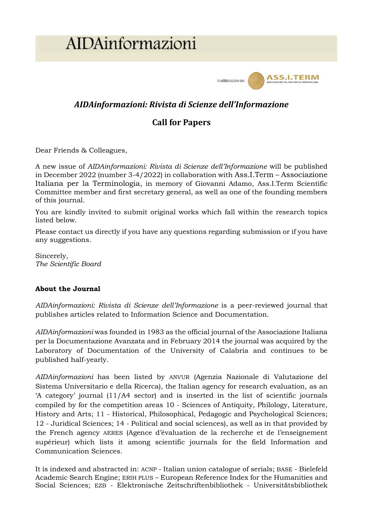# AIDAinformazioni



# *AIDAinformazioni: Rivista di Scienze dell'Informazione*

# **Call for Papers**

Dear Friends & Colleagues,

A new issue of *AIDAinformazioni: Rivista di Scienze dell'Informazione* will be published in December 2022 (number 3-4/2022) in collaboration with Ass.I.Term – Associazione Italiana per la Terminologia, in memory of Giovanni Adamo, Ass.I.Term Scientific Committee member and first secretary general, as well as one of the founding members of this journal.

You are kindly invited to submit original works which fall within the research topics listed below.

Please contact us directly if you have any questions regarding submission or if you have any suggestions.

Sincerely, *The Scientific Board*

# **About the Journal**

*AIDAinformazioni: Rivista di Scienze dell'Informazione* is a peer-reviewed journal that publishes articles related to Information Science and Documentation.

*AIDAinformazioni* was founded in 1983 as the official journal of the Associazione Italiana per la Documentazione Avanzata and in February 2014 the journal was acquired by the Laboratory of Documentation of the University of Calabria and continues to be published half-yearly.

*AIDAinformazioni* has been listed by ANVUR (Agenzia Nazionale di Valutazione del Sistema Universitario e della Ricerca), the Italian agency for research evaluation, as an 'A category' journal (11/A4 sector) and is inserted in the list of scientific journals compiled by for the competition areas 10 - Sciences of Antiquity, Philology, Literature, History and Arts; 11 - Historical, Philosophical, Pedagogic and Psychological Sciences; 12 - Juridical Sciences; 14 - Political and social sciences), as well as in that provided by the French agency AERES (Agence d'évaluation de la recherche et de l'enseignement supérieur) which lists it among scientific journals for the field Information and Communication Sciences.

It is indexed and abstracted in: ACNP - Italian union catalogue of serials; BASE - Bielefeld Academic Search Engine; ERIH PLUS – European Reference Index for the Humanities and Social Sciences; EZB - Elektronische Zeitschriftenbibliothek - Universitätsbibliothek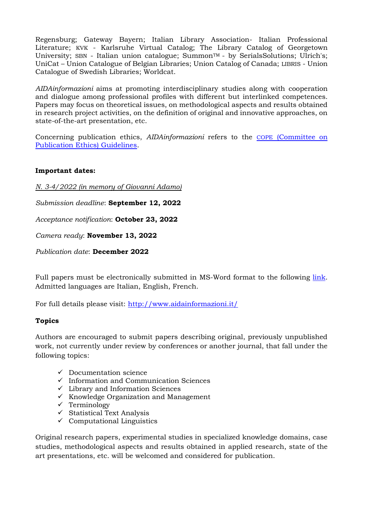Regensburg; Gateway Bayern; Italian Library Association- Italian Professional Literature; KVK - Karlsruhe Virtual Catalog; The Library Catalog of Georgetown University; SBN - Italian union catalogue; Summon™ - by SerialsSolutions; Ulrich's; UniCat – Union Catalogue of Belgian Libraries; Union Catalog of Canada; LIBRIS - Union Catalogue of Swedish Libraries; Worldcat.

*AIDAinformazioni* aims at promoting interdisciplinary studies along with cooperation and dialogue among professional profiles with different but interlinked competences. Papers may focus on theoretical issues, on methodological aspects and results obtained in research project activities, on the definition of original and innovative approaches, on state-of-the-art presentation, etc.

Concerning publication ethics, *AIDAinformazioni* refers to the COPE [\(Committee on](http://publicationethics.org/resources/guidelines)  [Publication Ethics\) Guidelines.](http://publicationethics.org/resources/guidelines)

## **Important dates:**

*N. 3-4/2022 (in memory of Giovanni Adamo)*

*Submission deadline*: **September 12, 2022**

*Acceptance notification*: **October 23, 2022**

*Camera ready*: **November 13, 2022**

*Publication date*: **December 2022**

Full papers must be electronically submitted in MS-Word format to the following [link.](https://www.aidainformazioni.it/index.php/aidainformazioni/submission) Admitted languages are Italian, English, French.

For full details please visit:<http://www.aidainformazioni.it/>

### **Topics**

Authors are encouraged to submit papers describing original, previously unpublished work, not currently under review by conferences or another journal, that fall under the following topics:

- $\checkmark$  Documentation science
- $\checkmark$  Information and Communication Sciences
- $\checkmark$  Library and Information Sciences
- ✓ Knowledge Organization and Management
- ✓ Terminology
- $\checkmark$  Statistical Text Analysis
- $\checkmark$  Computational Linguistics

Original research papers, experimental studies in specialized knowledge domains, case studies, methodological aspects and results obtained in applied research, state of the art presentations, etc. will be welcomed and considered for publication.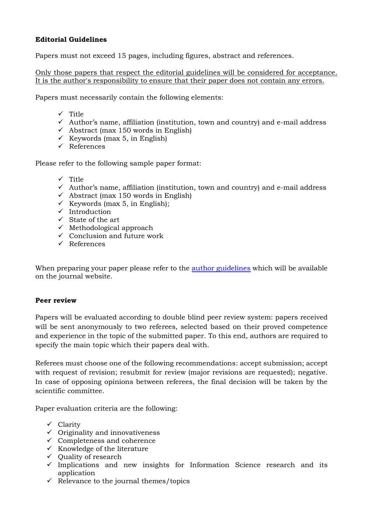# **Editorial Guidelines**

Papers must not exceed 15 pages, including figures, abstract and references.

Only those papers that respect the editorial guidelines will be considered for acceptance. It is the author's responsibility to ensure that their paper does not contain any errors.

Papers must necessarily contain the following elements:

- ✓ Title
- ✓ Author's name, affiliation (institution, town and country) and e-mail address
- $\checkmark$  Abstract (max 150 words in English)
- $\checkmark$  Keywords (max 5, in English)
- ✓ References

Please refer to the following sample paper format:

- ✓ Title
- $\checkmark$  Author's name, affiliation (institution, town and country) and e-mail address
- $\checkmark$  Abstract (max 150 words in English)
- $\checkmark$  Keywords (max 5, in English);
- ✓ Introduction
- $\checkmark$  State of the art
- $\checkmark$  Methodological approach
- $\checkmark$  Conclusion and future work
- ✓ References

When preparing your paper please refer to the <u>author [guidelines](https://www.aidainformazioni.it/index.php/aidainformazioni/norme)</u> which will be available on the journal website.

### **Peer review**

Papers will be evaluated according to double blind peer review system: papers received will be sent anonymously to two referees, selected based on their proved competence and experience in the topic of the submitted paper. To this end, authors are required to specify the main topic which their papers deal with.

Referees must choose one of the following recommendations: accept submission; accept with request of revision; resubmit for review (major revisions are requested); negative. In case of opposing opinions between referees, the final decision will be taken by the scientific committee.

Paper evaluation criteria are the following:

- ✓ Clarity
- $\checkmark$  Originality and innovativeness
- $\checkmark$  Completeness and coherence
- $\checkmark$  Knowledge of the literature
- ✓ Quality of research
- $\checkmark$  Implications and new insights for Information Science research and its application
- $\checkmark$  Relevance to the journal themes/topics